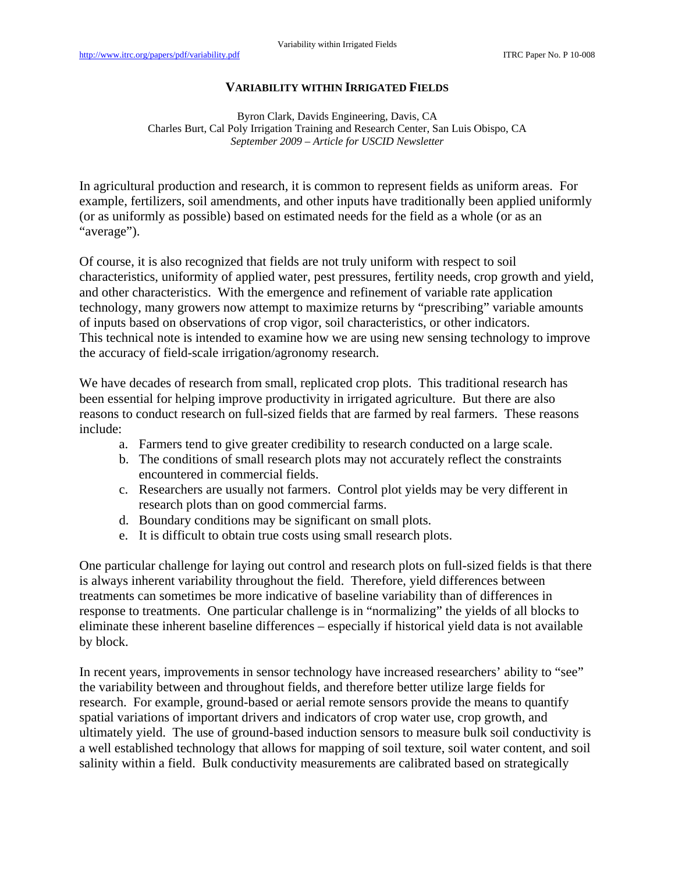## **VARIABILITY WITHIN IRRIGATED FIELDS**

Byron Clark, Davids Engineering, Davis, CA Charles Burt, Cal Poly Irrigation Training and Research Center, San Luis Obispo, CA *September 2009 – Article for USCID Newsletter* 

In agricultural production and research, it is common to represent fields as uniform areas. For example, fertilizers, soil amendments, and other inputs have traditionally been applied uniformly (or as uniformly as possible) based on estimated needs for the field as a whole (or as an "average").

Of course, it is also recognized that fields are not truly uniform with respect to soil characteristics, uniformity of applied water, pest pressures, fertility needs, crop growth and yield, and other characteristics. With the emergence and refinement of variable rate application technology, many growers now attempt to maximize returns by "prescribing" variable amounts of inputs based on observations of crop vigor, soil characteristics, or other indicators. This technical note is intended to examine how we are using new sensing technology to improve the accuracy of field-scale irrigation/agronomy research.

We have decades of research from small, replicated crop plots. This traditional research has been essential for helping improve productivity in irrigated agriculture. But there are also reasons to conduct research on full-sized fields that are farmed by real farmers. These reasons include:

- a. Farmers tend to give greater credibility to research conducted on a large scale.
- b. The conditions of small research plots may not accurately reflect the constraints encountered in commercial fields.
- c. Researchers are usually not farmers. Control plot yields may be very different in research plots than on good commercial farms.
- d. Boundary conditions may be significant on small plots.
- e. It is difficult to obtain true costs using small research plots.

One particular challenge for laying out control and research plots on full-sized fields is that there is always inherent variability throughout the field. Therefore, yield differences between treatments can sometimes be more indicative of baseline variability than of differences in response to treatments. One particular challenge is in "normalizing" the yields of all blocks to eliminate these inherent baseline differences – especially if historical yield data is not available by block.

In recent years, improvements in sensor technology have increased researchers' ability to "see" the variability between and throughout fields, and therefore better utilize large fields for research. For example, ground-based or aerial remote sensors provide the means to quantify spatial variations of important drivers and indicators of crop water use, crop growth, and ultimately yield. The use of ground-based induction sensors to measure bulk soil conductivity is a well established technology that allows for mapping of soil texture, soil water content, and soil salinity within a field. Bulk conductivity measurements are calibrated based on strategically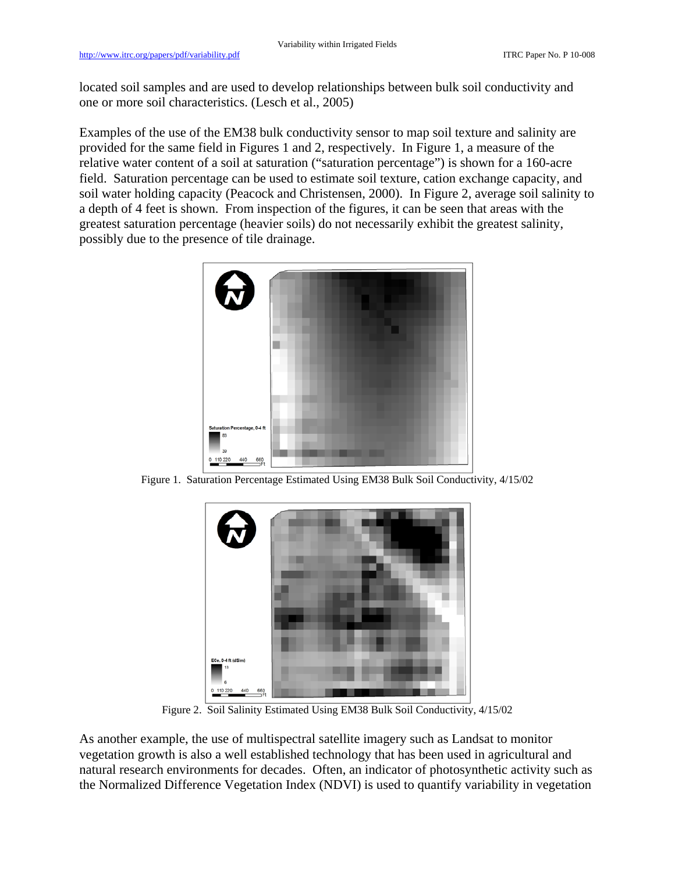located soil samples and are used to develop relationships between bulk soil conductivity and one or more soil characteristics. (Lesch et al., 2005)

Examples of the use of the EM38 bulk conductivity sensor to map soil texture and salinity are provided for the same field in Figures 1 and 2, respectively. In Figure 1, a measure of the relative water content of a soil at saturation ("saturation percentage") is shown for a 160-acre field. Saturation percentage can be used to estimate soil texture, cation exchange capacity, and soil water holding capacity (Peacock and Christensen, 2000). In Figure 2, average soil salinity to a depth of 4 feet is shown. From inspection of the figures, it can be seen that areas with the greatest saturation percentage (heavier soils) do not necessarily exhibit the greatest salinity, possibly due to the presence of tile drainage.



Figure 1. Saturation Percentage Estimated Using EM38 Bulk Soil Conductivity, 4/15/02



Figure 2. Soil Salinity Estimated Using EM38 Bulk Soil Conductivity, 4/15/02

As another example, the use of multispectral satellite imagery such as Landsat to monitor vegetation growth is also a well established technology that has been used in agricultural and natural research environments for decades. Often, an indicator of photosynthetic activity such as the Normalized Difference Vegetation Index (NDVI) is used to quantify variability in vegetation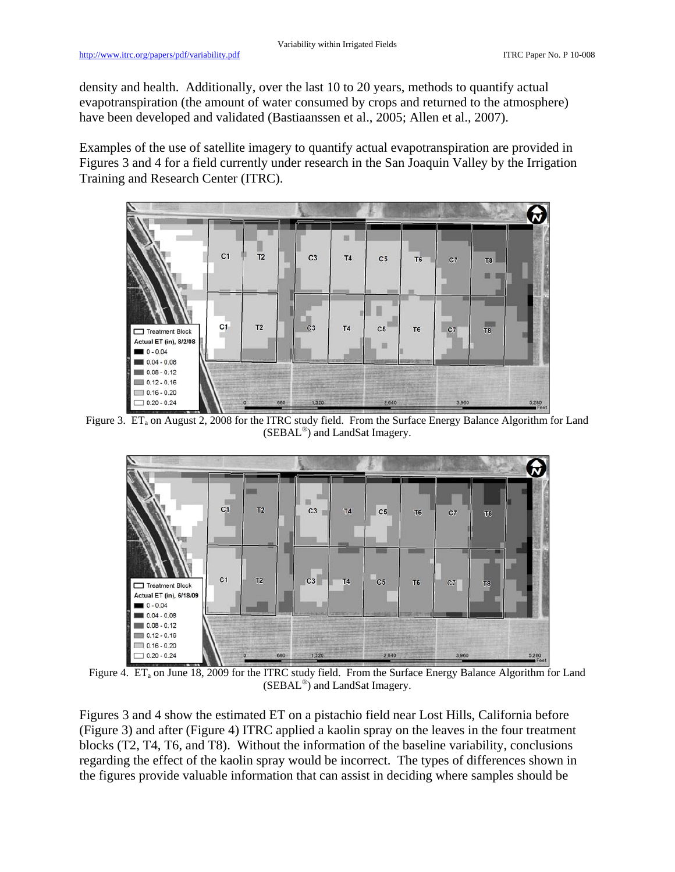density and health. Additionally, over the last 10 to 20 years, methods to quantify actual evapotranspiration (the amount of water consumed by crops and returned to the atmosphere) have been developed and validated (Bastiaanssen et al., 2005; Allen et al., 2007).

Examples of the use of satellite imagery to quantify actual evapotranspiration are provided in Figures 3 and 4 for a field currently under research in the San Joaquin Valley by the Irrigation Training and Research Center (ITRC).



Figure 3. ET<sub>a</sub> on August 2, 2008 for the ITRC study field. From the Surface Energy Balance Algorithm for Land (SEBAL®) and LandSat Imagery.



Figure 4. ET<sub>a</sub> on June 18, 2009 for the ITRC study field. From the Surface Energy Balance Algorithm for Land (SEBAL®) and LandSat Imagery.

Figures 3 and 4 show the estimated ET on a pistachio field near Lost Hills, California before (Figure 3) and after (Figure 4) ITRC applied a kaolin spray on the leaves in the four treatment blocks (T2, T4, T6, and T8). Without the information of the baseline variability, conclusions regarding the effect of the kaolin spray would be incorrect. The types of differences shown in the figures provide valuable information that can assist in deciding where samples should be